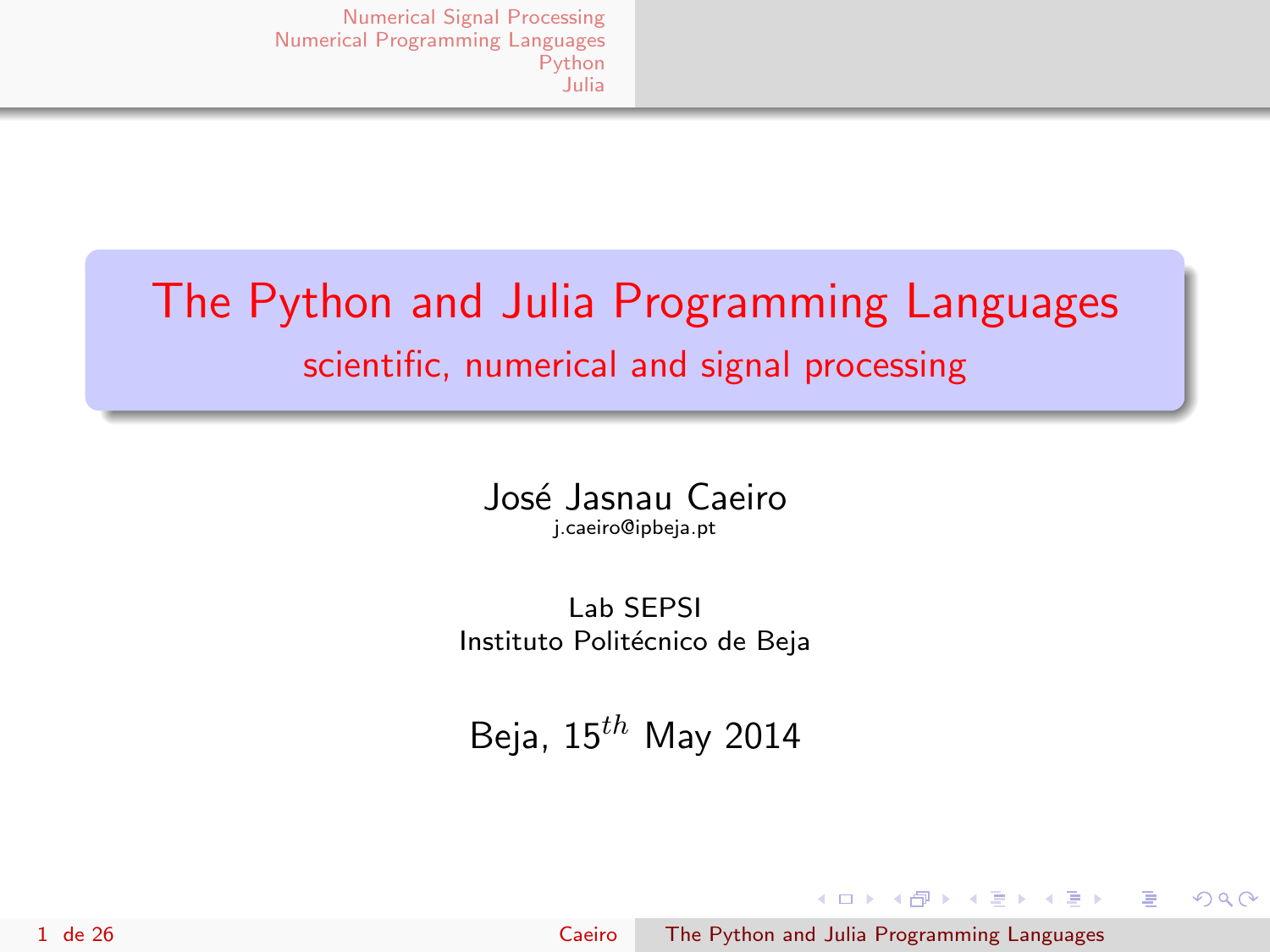# <span id="page-0-0"></span>The Python and Julia Programming Languages scientific, numerical and signal processing

José Jasnau Caeiro j.caeiro@ipbeja.pt

Lab SEPSI Instituto Politécnico de Beja

Beja,  $15^{th}$  May 2014

イロメ イ部メ イミメ イモメ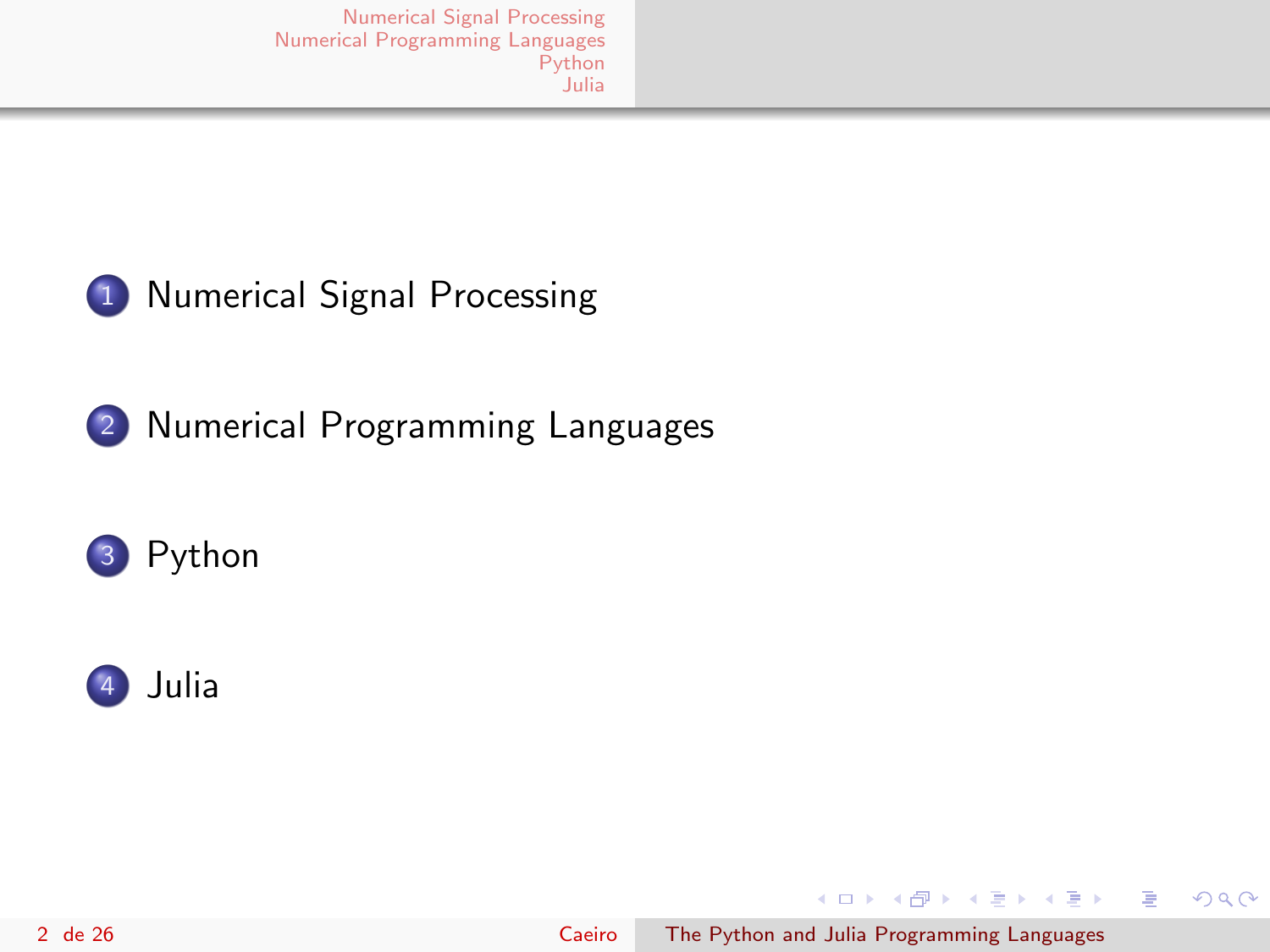

#### 1 [Numerical Signal Processing](#page-2-0)

2 [Numerical Programming Languages](#page-5-0)





イロメ イ母メ イヨメ イヨメ

 $299$ 

э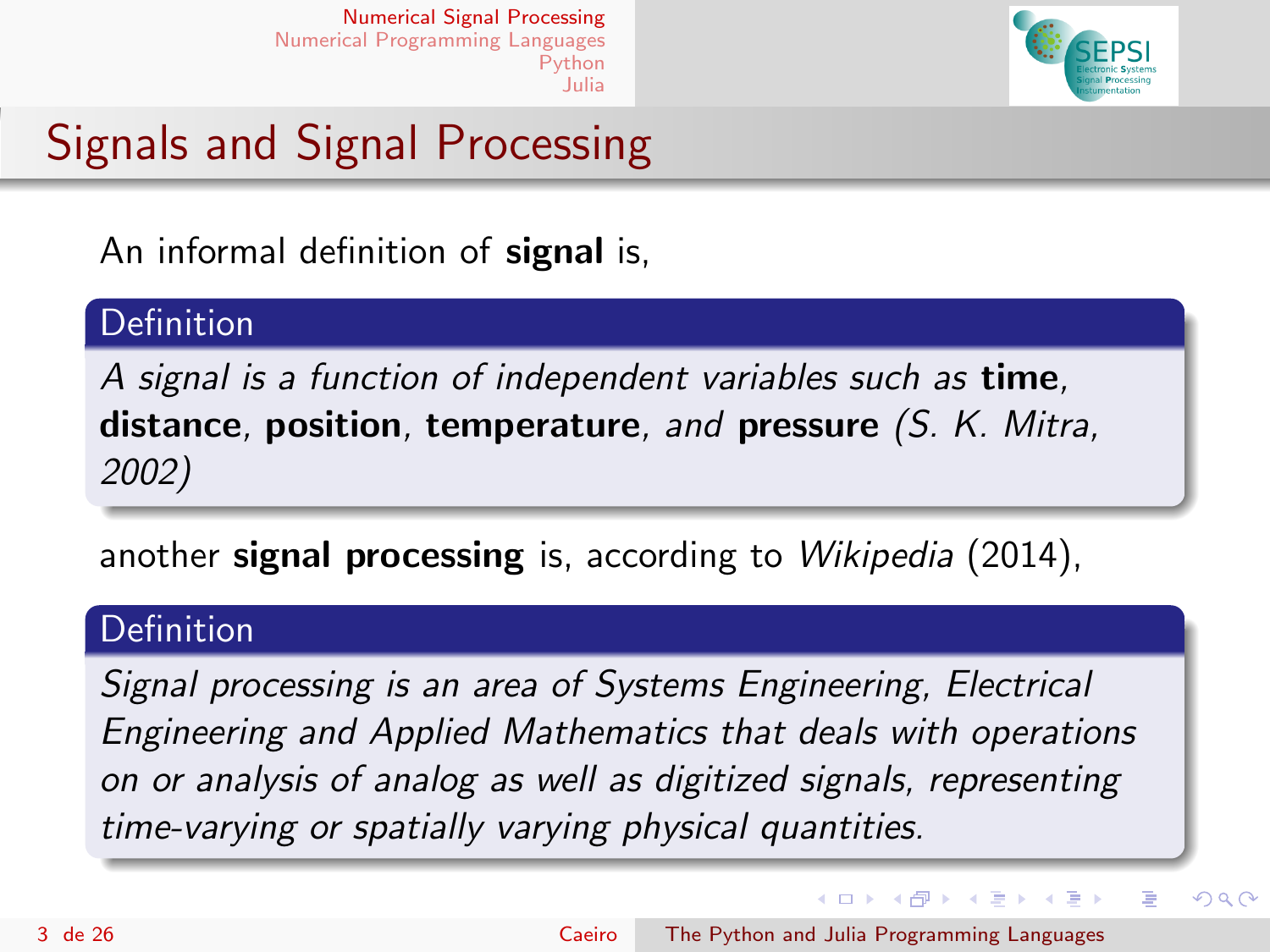

# <span id="page-2-0"></span>Signals and Signal Processing

An informal definition of **signal** is,

#### **Definition**

A signal is a function of independent variables such as **time**, distance, position, temperature, and pressure  $(S. K. Mitra,$ 2002)

another signal processing is, according to Wikipedia (2014),

#### **Definition**

Signal processing is an area of Systems Engineering, Electrical Engineering and Applied Mathematics that deals with operations on or analysis of analog as well as digitized signals, representing time-varying or spatially varying physical quantities.

イロト イ母 トイヨ トイヨト

Þ

 $QQ$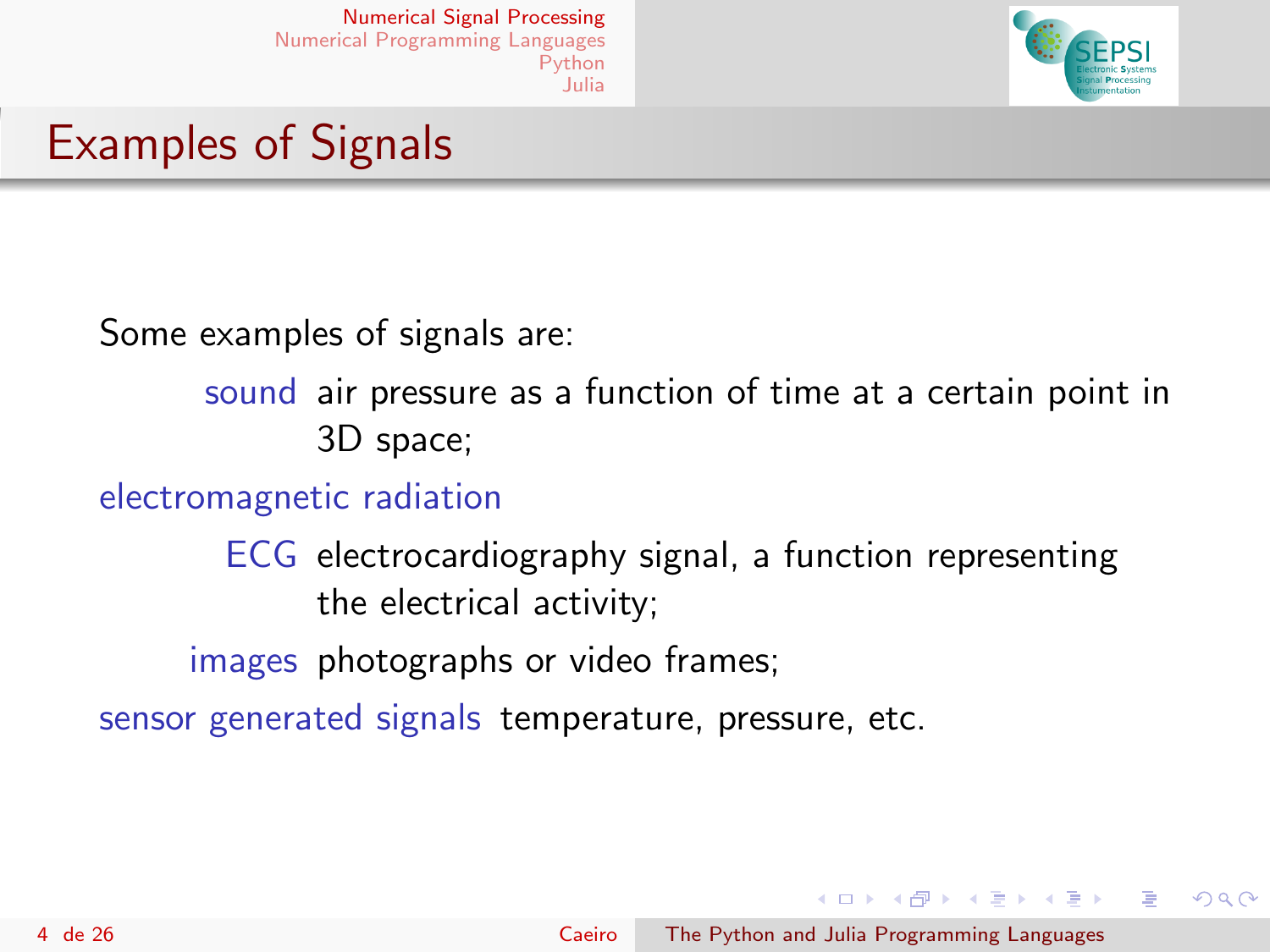

#### Examples of Signals

Some examples of signals are:

sound air pressure as a function of time at a certain point in 3D space;

electromagnetic radiation

ECG electrocardiography signal, a function representing the electrical activity;

images photographs or video frames;

sensor generated signals temperature, pressure, etc.

イロメ イ母メ イヨメ イヨメ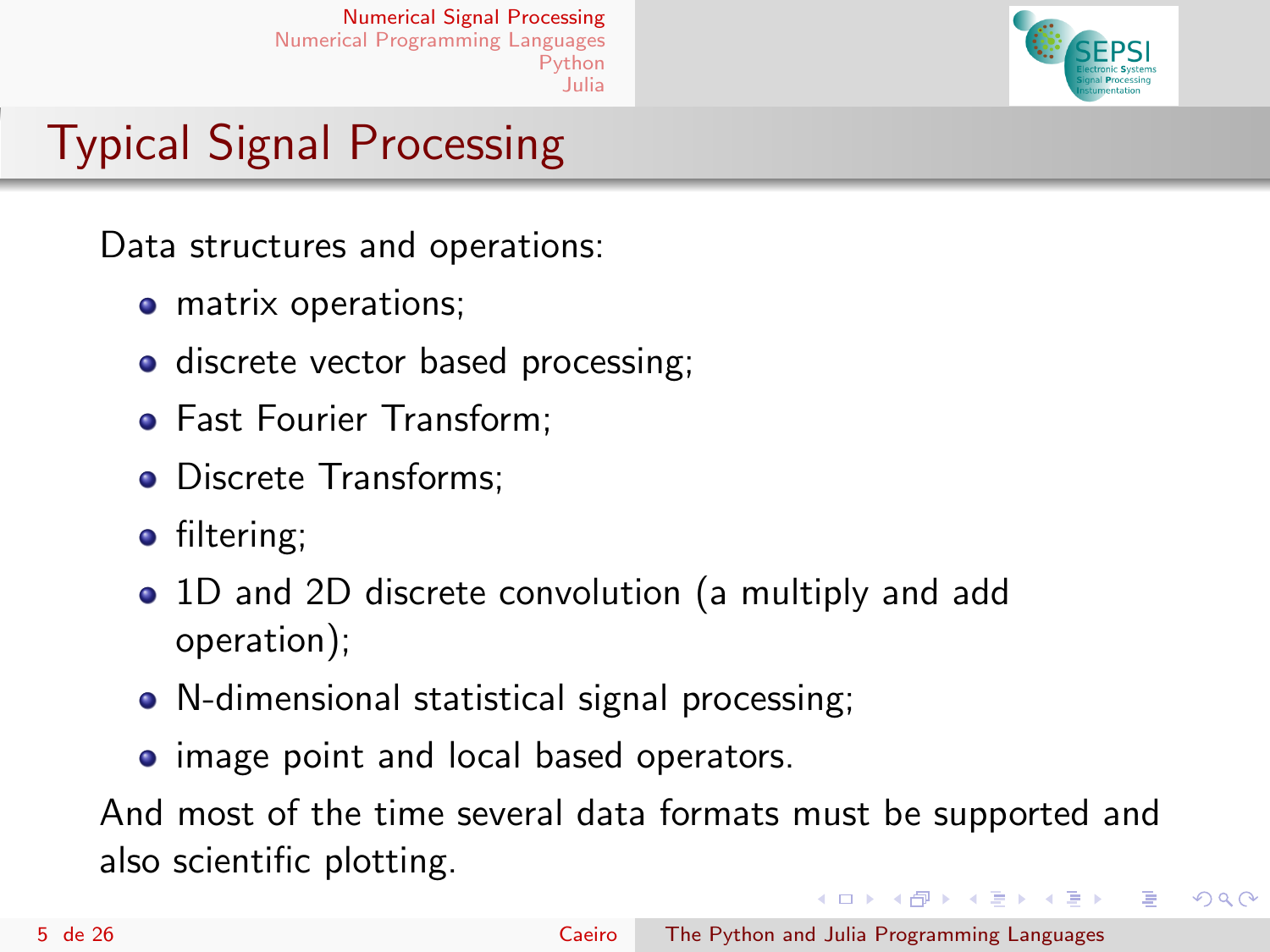

# Typical Signal Processing

Data structures and operations:

- matrix operations;
- discrete vector based processing;
- **Fast Fourier Transform:**
- Discrete Transforms;
- filtering;
- 1D and 2D discrete convolution (a multiply and add operation);
- N-dimensional statistical signal processing;
- image point and local based operators.

And most of the time several data formats must be supported and also scientific plotting.

イロメ イ母メ イヨメ イヨメ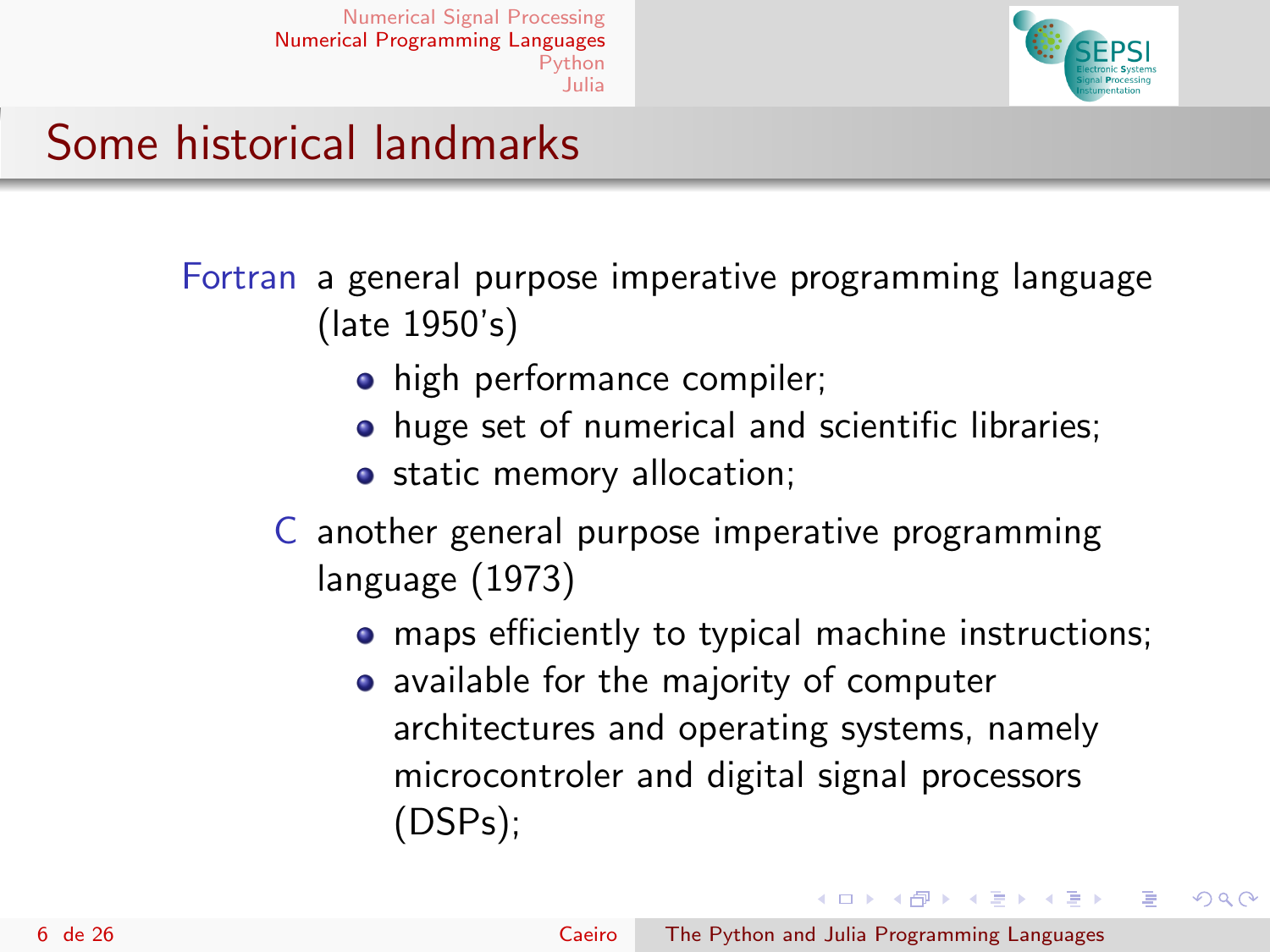

#### <span id="page-5-0"></span>Some historical landmarks

Fortran a general purpose imperative programming language (late 1950's)

- high performance compiler;
- huge set of numerical and scientific libraries;
- o static memory allocation;
- C another general purpose imperative programming language (1973)
	- **•** maps efficiently to typical machine instructions;
	- available for the majority of computer architectures and operating systems, namely microcontroler and digital signal processors (DSPs);

イロメ イ何メ イヨメ イヨメ

つくい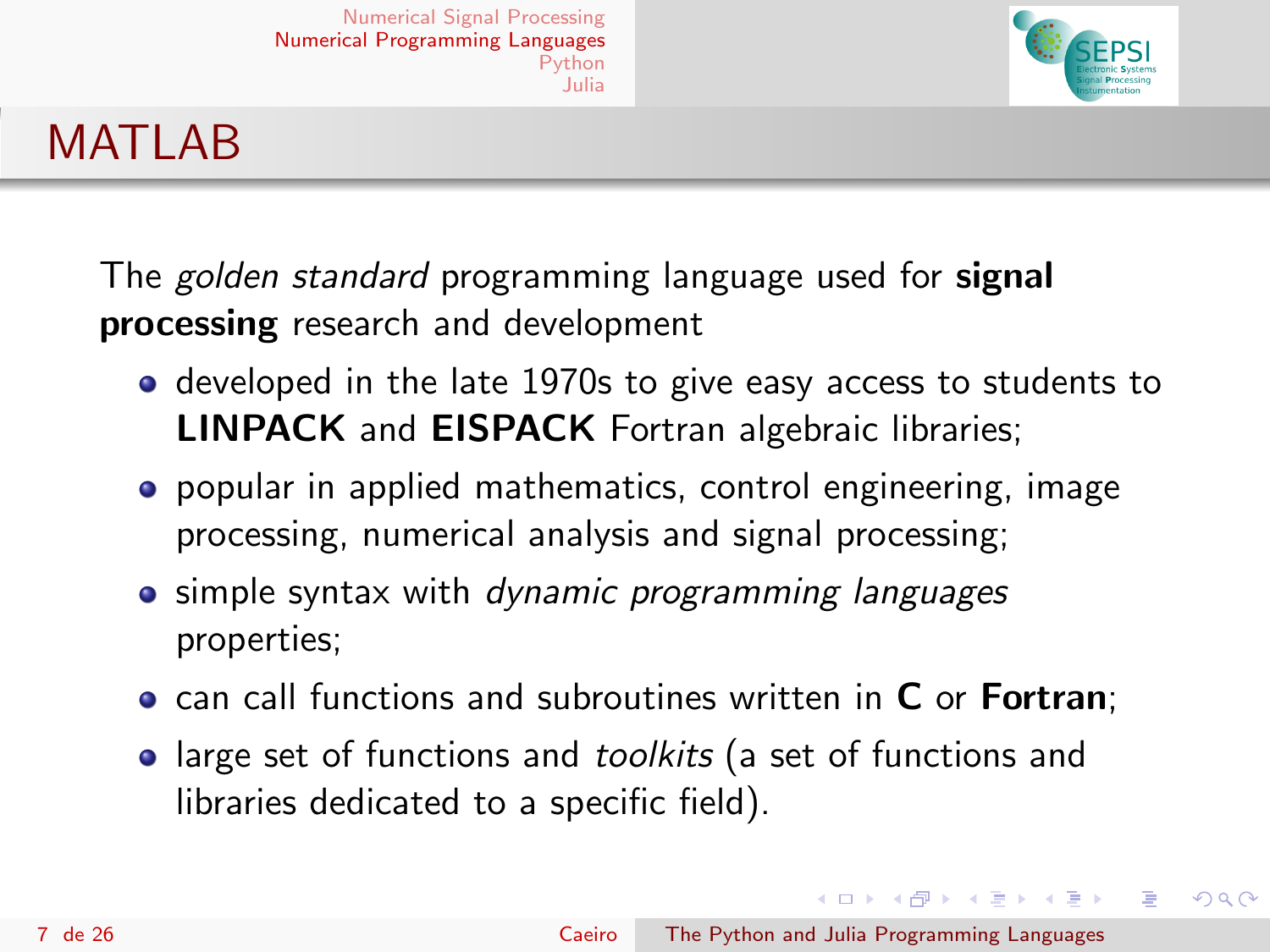

# **MATLAB**

The *golden standard* programming language used for **signal** processing research and development

- **o** developed in the late 1970s to give easy access to students to LINPACK and EISPACK Fortran algebraic libraries;
- popular in applied mathematics, control engineering, image processing, numerical analysis and signal processing;
- simple syntax with *dynamic programming languages* properties;
- can call functions and subroutines written in C or Fortran;
- large set of functions and toolkits (a set of functions and libraries dedicated to a specific field).

イロメ イ何メ イヨメ イヨメ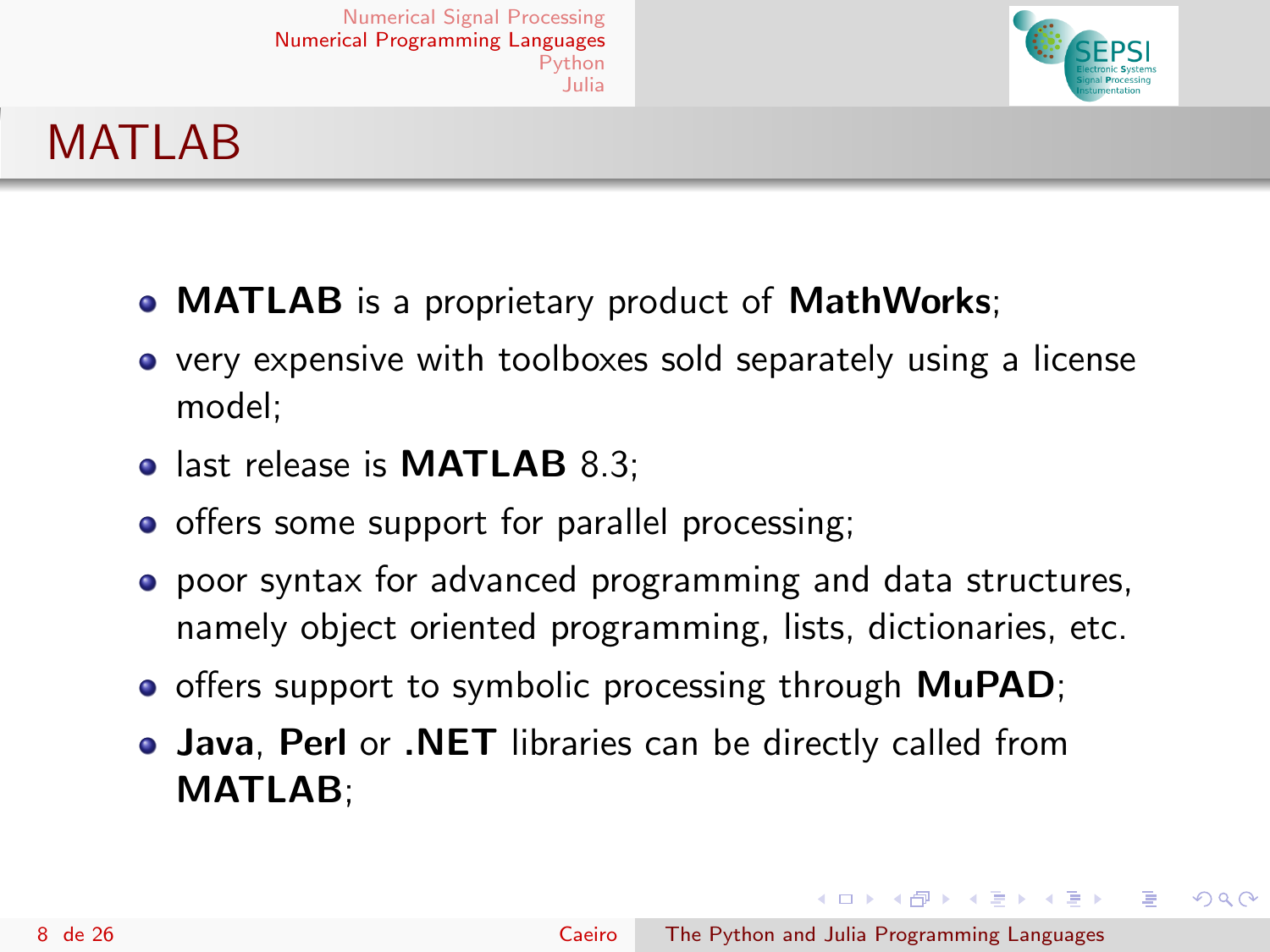

# **MATLAB**

- **MATLAB** is a proprietary product of **MathWorks**;
- very expensive with toolboxes sold separately using a license model;
- last release is **MATLAB** 8.3;
- offers some support for parallel processing;
- poor syntax for advanced programming and data structures, namely object oriented programming, lists, dictionaries, etc.
- **•** offers support to symbolic processing through **MuPAD**;
- Java, Perl or .NET libraries can be directly called from MATLAB;

イロメ イ母メ イヨメ イヨメ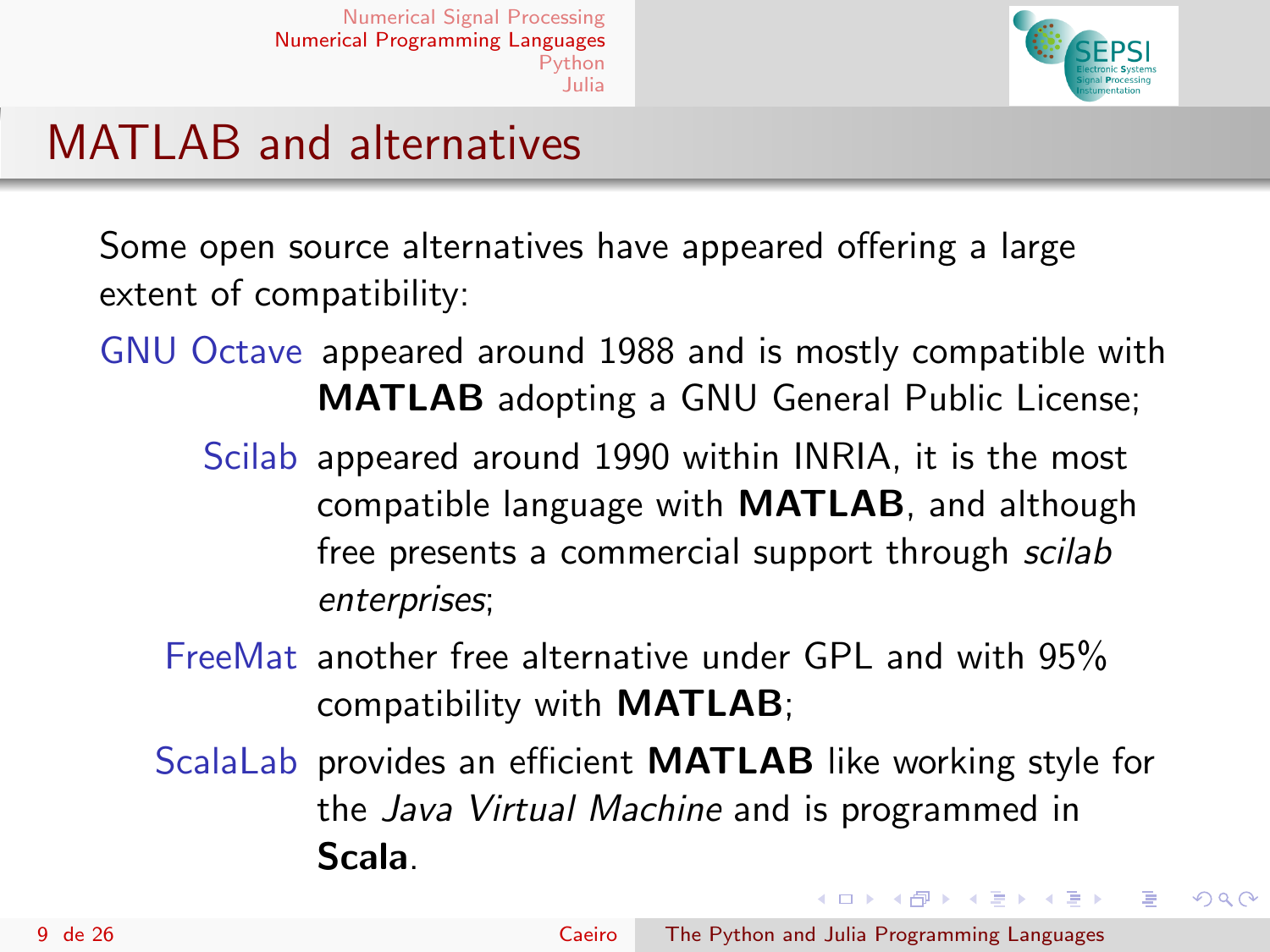

## MATLAB and alternatives

Some open source alternatives have appeared offering a large extent of compatibility:

- GNU Octave appeared around 1988 and is mostly compatible with MATLAB adopting a GNU General Public License;
	- Scilab appeared around 1990 within INRIA, it is the most compatible language with MATLAB, and although free presents a commercial support through scilab enterprises;
	- FreeMat another free alternative under GPL and with 95% compatibility with MATLAB;
	- ScalaLab provides an efficient **MATLAB** like working style for the Java Virtual Machine and is programmed in Scala.

イロメ イ何メ イヨメ イヨメ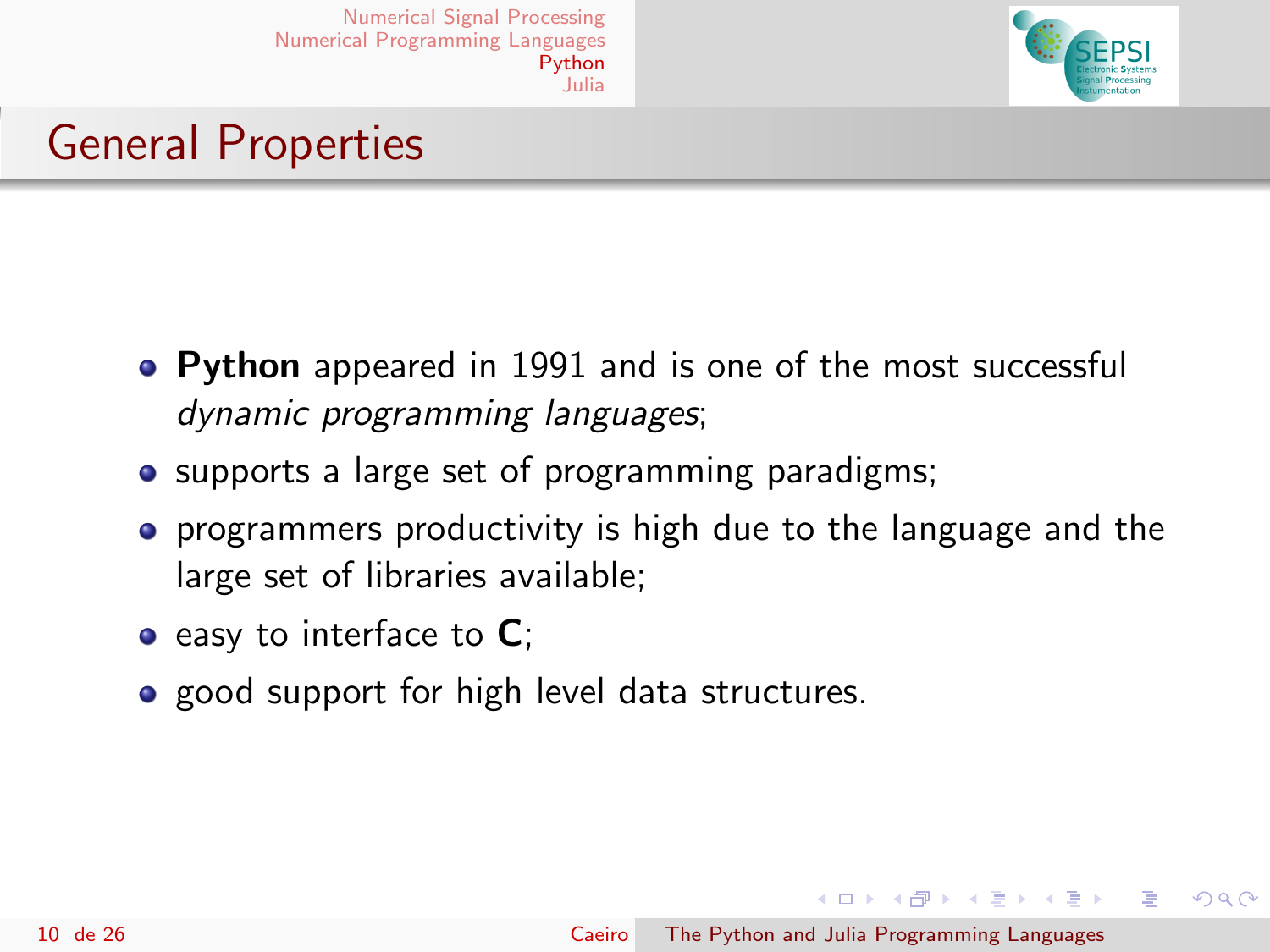

# <span id="page-9-0"></span>General Properties

- Python appeared in 1991 and is one of the most successful dynamic programming languages;
- supports a large set of programming paradigms;
- **•** programmers productivity is high due to the language and the large set of libraries available;
- $\bullet$  easy to interface to  $\mathsf{C}$ ;
- good support for high level data structures.

イロメ イ母メ イヨメ イヨメ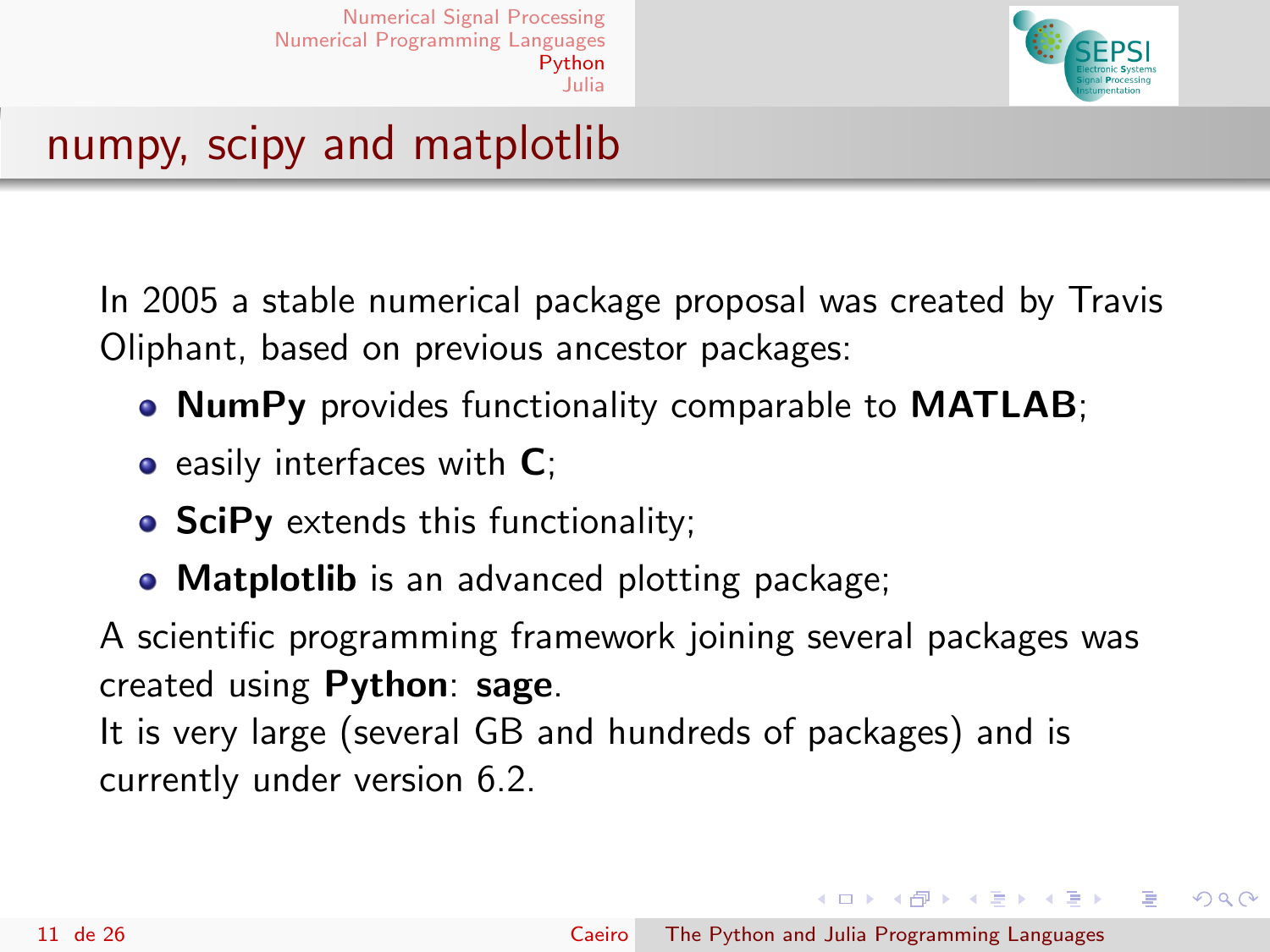

## numpy, scipy and matplotlib

In 2005 a stable numerical package proposal was created by Travis Oliphant, based on previous ancestor packages:

- NumPy provides functionality comparable to MATLAB;
- $\bullet$  easily interfaces with  $\mathsf{C}$ ;
- SciPy extends this functionality;
- Matplotlib is an advanced plotting package;

A scientific programming framework joining several packages was created using Python: sage.

It is very large (several GB and hundreds of packages) and is currently under version 6.2.

イロメ イ母メ イヨメ イヨメ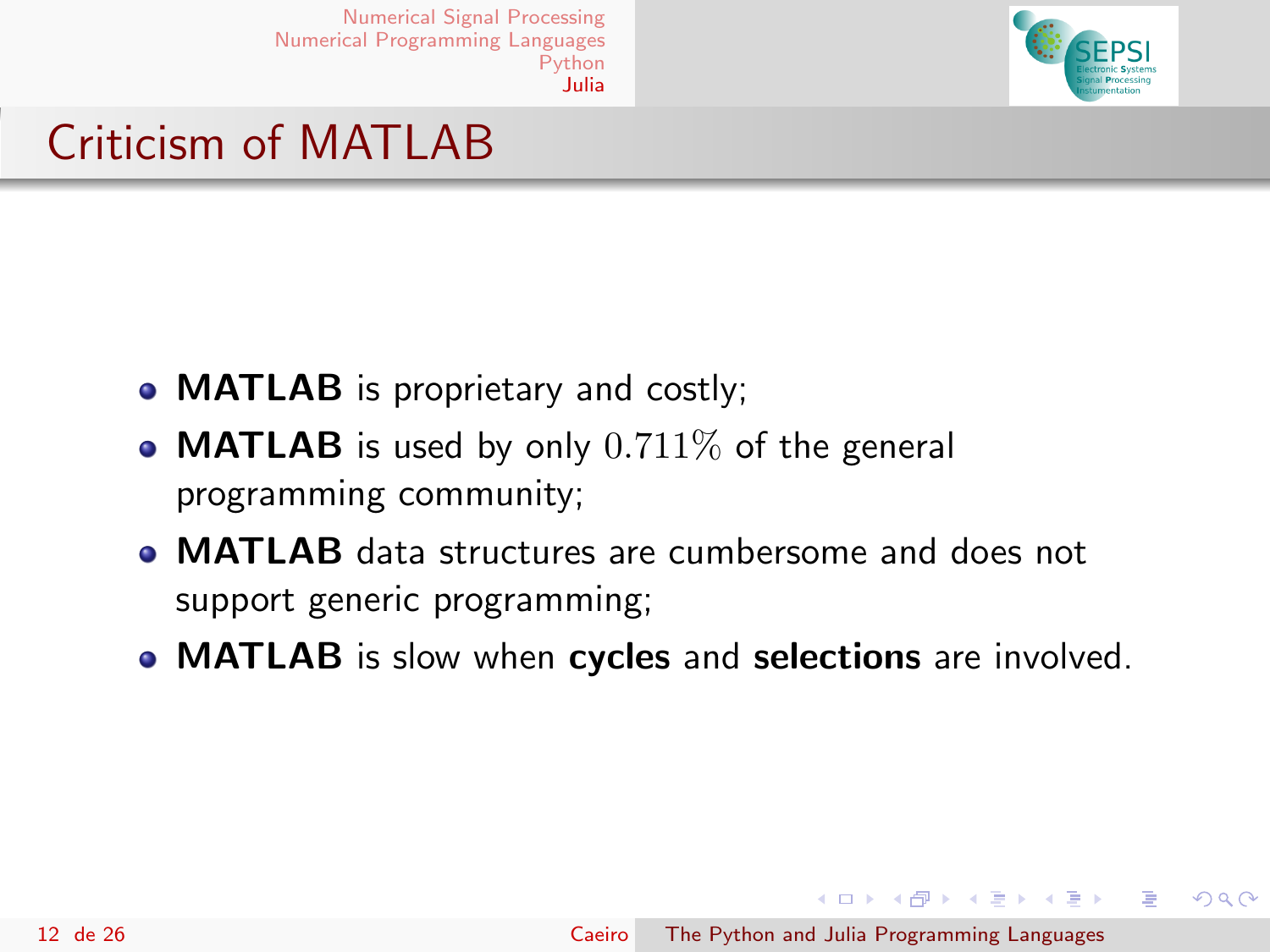

## <span id="page-11-0"></span>Criticism of MATLAB

- **MATLAB** is proprietary and costly;
- **MATLAB** is used by only  $0.711\%$  of the general programming community;
- MATLAB data structures are cumbersome and does not support generic programming;
- **MATLAB** is slow when cycles and selections are involved.

イロメ イ母メ イヨメ イヨメ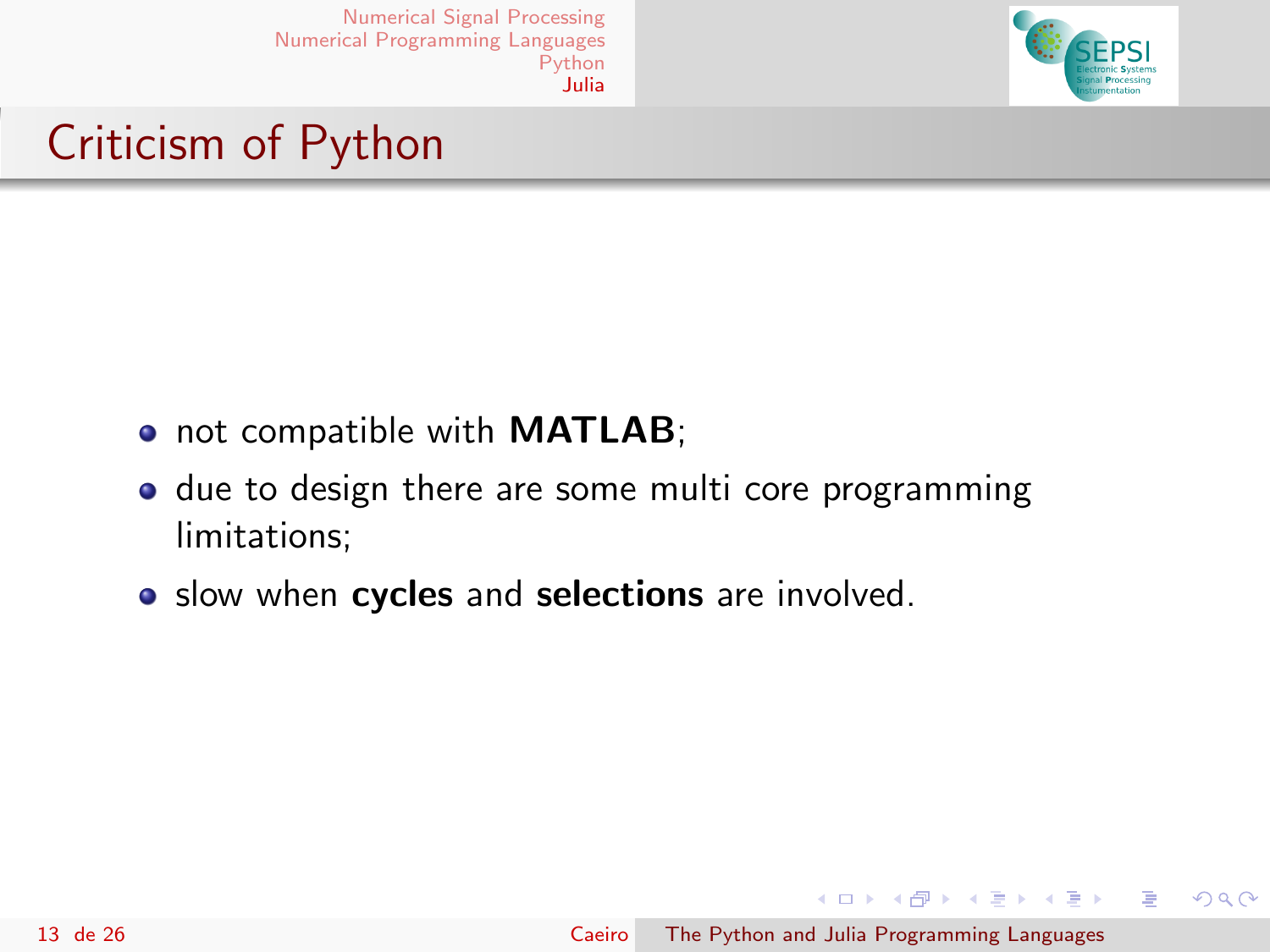

## Criticism of Python

- not compatible with **MATLAB**;
- due to design there are some multi core programming limitations;
- slow when cycles and selections are involved.

イロメ イ母メ イヨメ イヨメ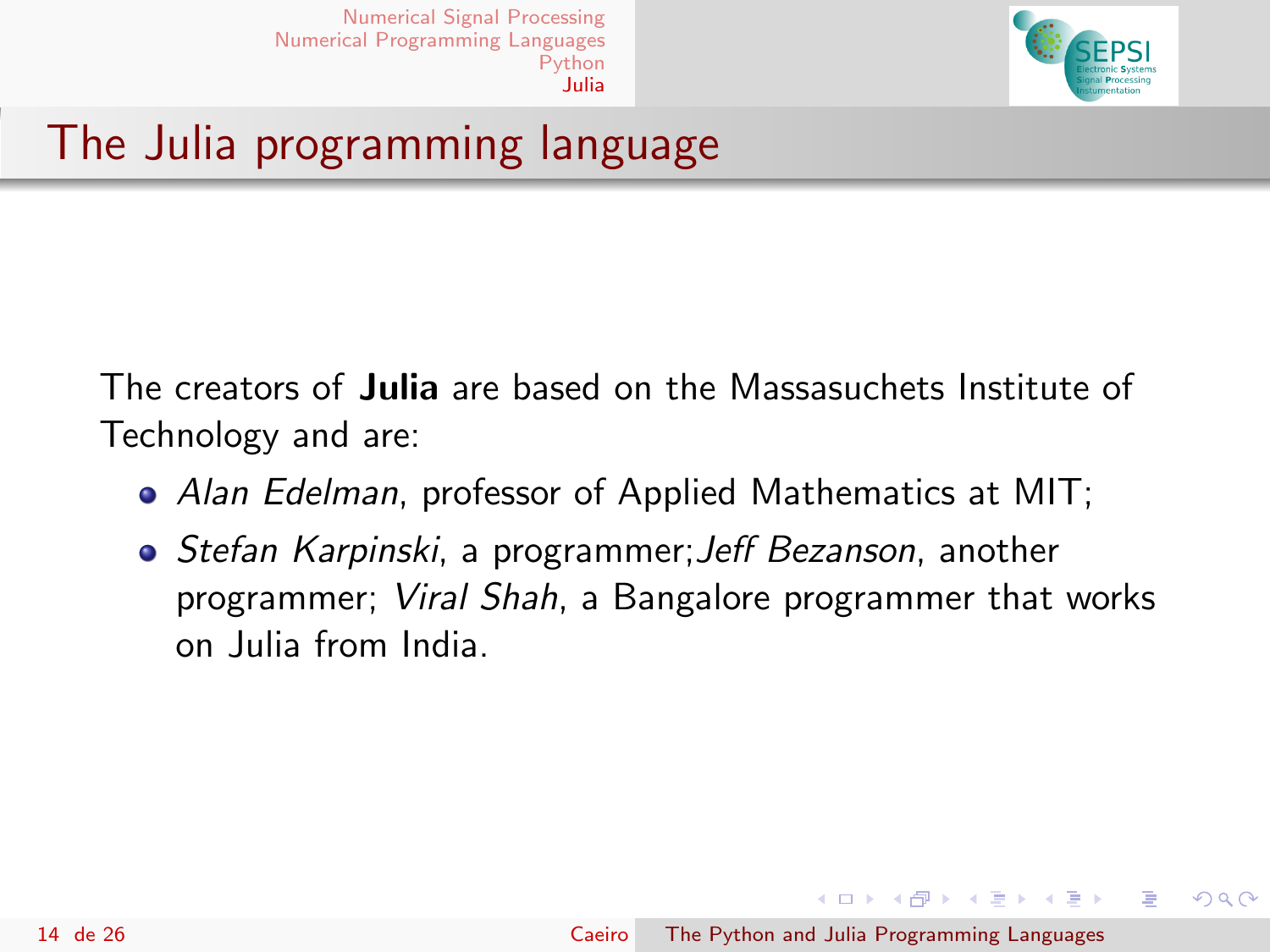

# The Julia programming language

The creators of Julia are based on the Massasuchets Institute of Technology and are:

- Alan Edelman, professor of Applied Mathematics at MIT;
- Stefan Karpinski, a programmer;Jeff Bezanson, another programmer; Viral Shah, a Bangalore programmer that works on Julia from India.

→ イ母 ト イヨ ト イヨ ト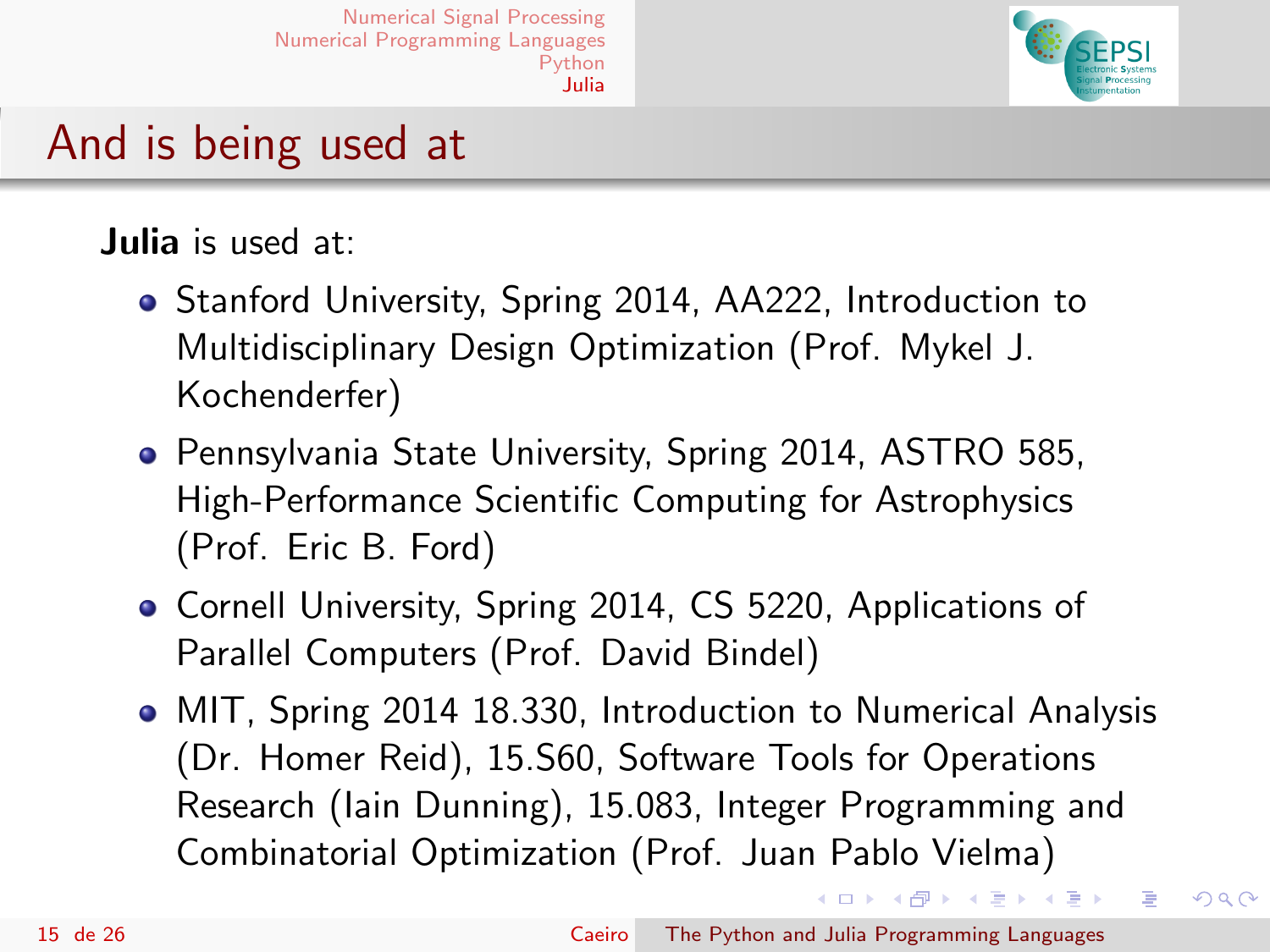

## And is being used at

#### Julia is used at:

- Stanford University, Spring 2014, AA222, Introduction to Multidisciplinary Design Optimization (Prof. Mykel J. Kochenderfer)
- **Pennsylvania State University, Spring 2014, ASTRO 585,** High-Performance Scientific Computing for Astrophysics (Prof. Eric B. Ford)
- Cornell University, Spring 2014, CS 5220, Applications of Parallel Computers (Prof. David Bindel)
- MIT, Spring 2014 18.330, Introduction to Numerical Analysis (Dr. Homer Reid), 15.S60, Software Tools for Operations Research (Iain Dunning), 15.083, Integer Programming and Combinatorial Optimization (Prof. Juan Pablo Vielma)

イロト イ母 トイヨ トイヨト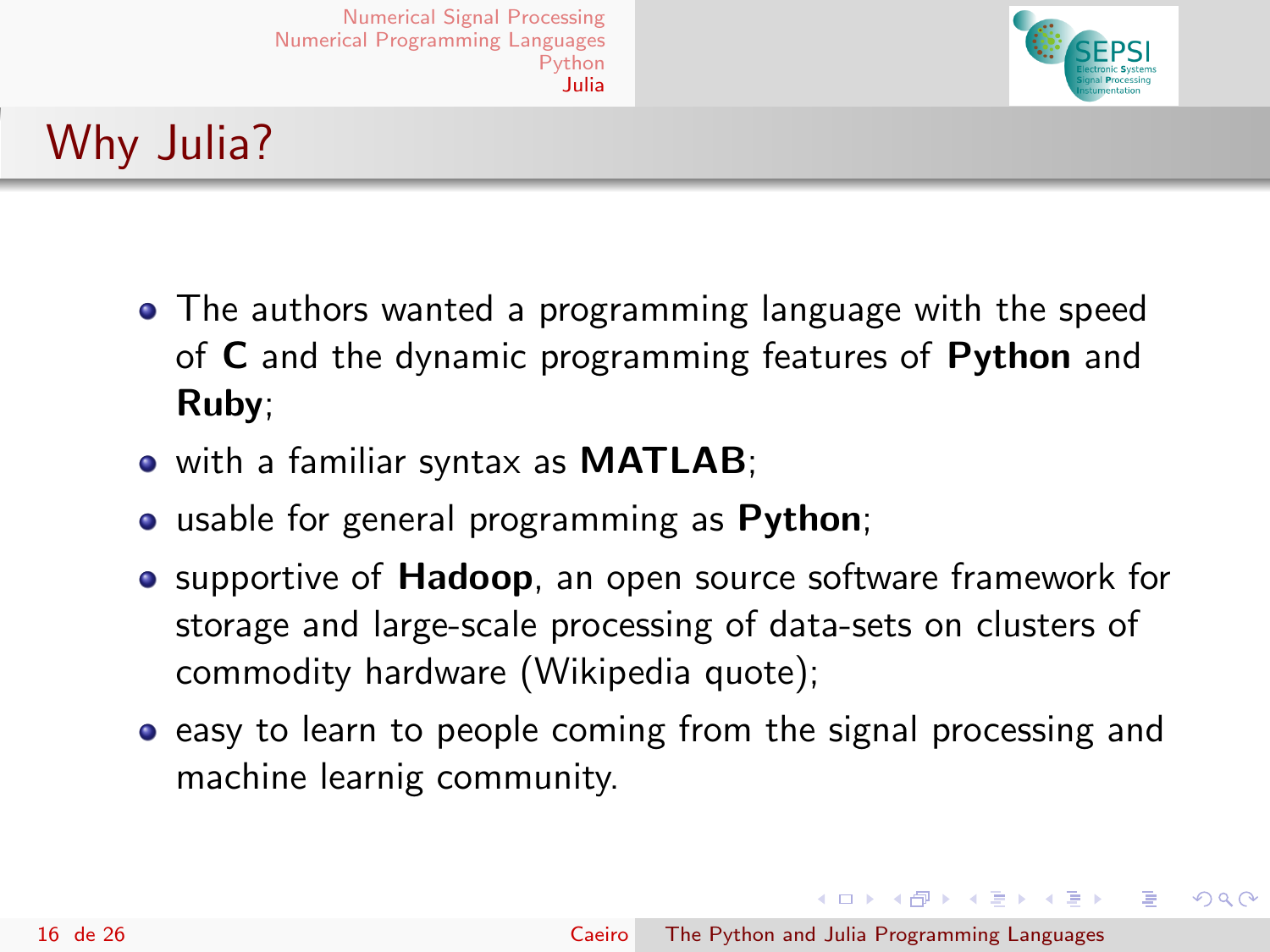

# Why Julia?

- The authors wanted a programming language with the speed of C and the dynamic programming features of Python and Ruby;
- with a familiar syntax as **MATLAB**;
- **•** usable for general programming as **Python**;
- supportive of Hadoop, an open source software framework for storage and large-scale processing of data-sets on clusters of commodity hardware (Wikipedia quote);
- **•** easy to learn to people coming from the signal processing and machine learnig community.

イロメ イ母メ イヨメ イヨメ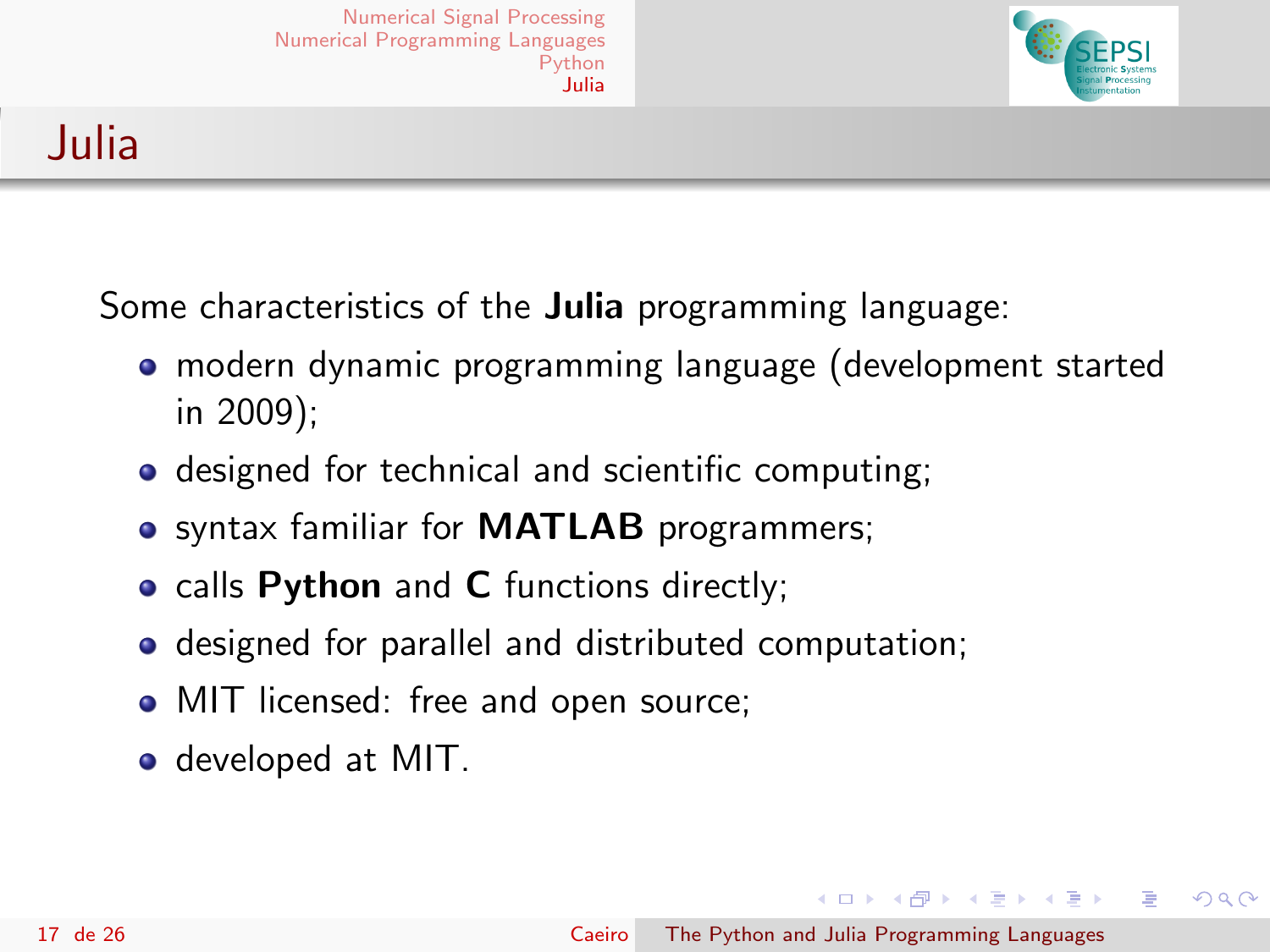

## Julia

Some characteristics of the **Julia** programming language:

- modern dynamic programming language (development started in 2009);
- designed for technical and scientific computing;
- syntax familiar for **MATLAB** programmers;
- calls Python and C functions directly;
- **o** designed for parallel and distributed computation;
- MIT licensed: free and open source;
- developed at MIT.

イロメ イ母メ イヨメ イヨメ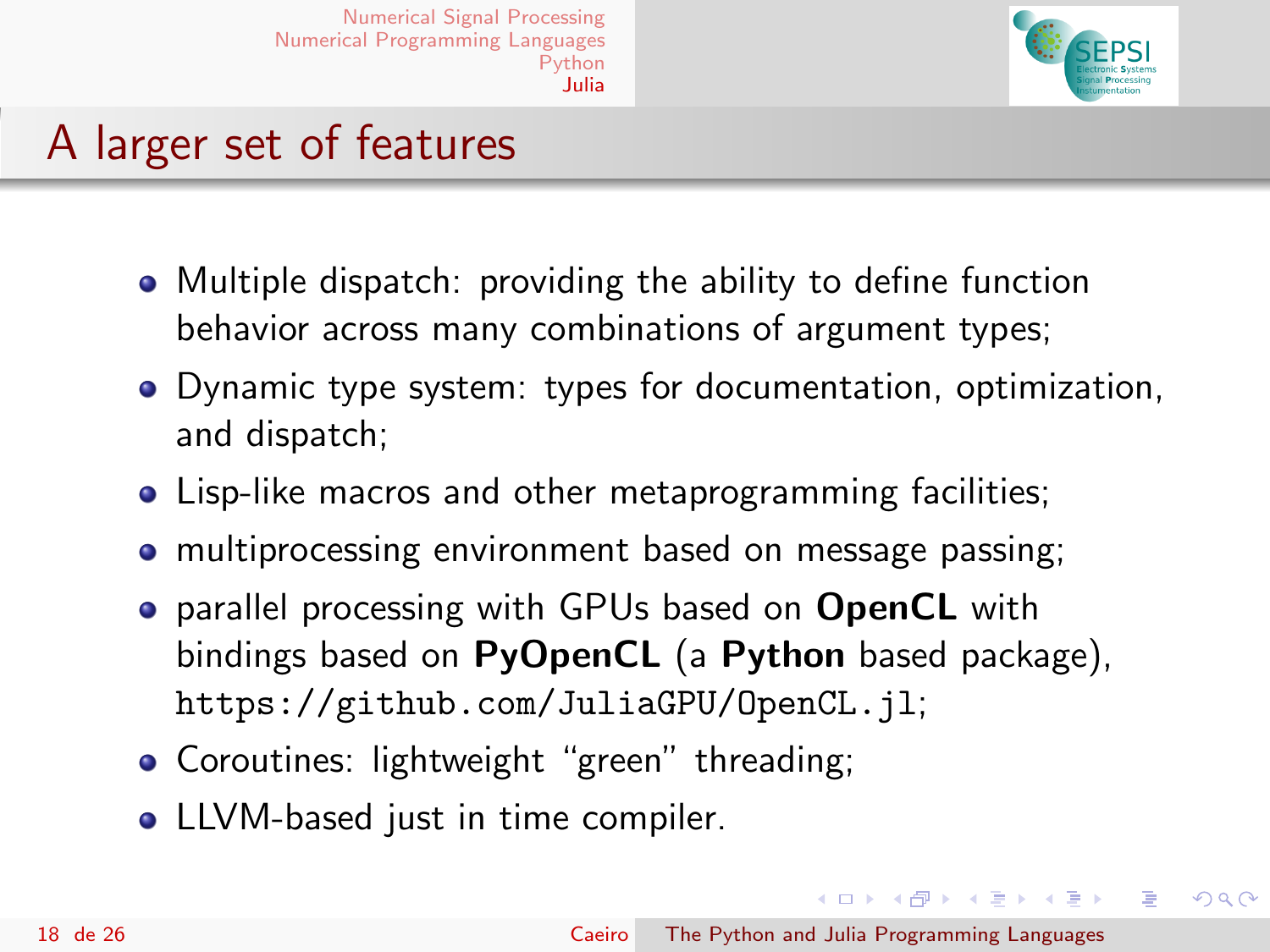

## A larger set of features

- Multiple dispatch: providing the ability to define function behavior across many combinations of argument types;
- Dynamic type system: types for documentation, optimization, and dispatch;
- Lisp-like macros and other metaprogramming facilities;
- multiprocessing environment based on message passing;
- **•** parallel processing with GPUs based on **OpenCL** with bindings based on PyOpenCL (a Python based package), <https://github.com/JuliaGPU/OpenCL.jl>;
- **Coroutines: lightweight "green" threading:**
- LLVM-based just in time compiler.

イロメ イ母メ イヨメ イヨメー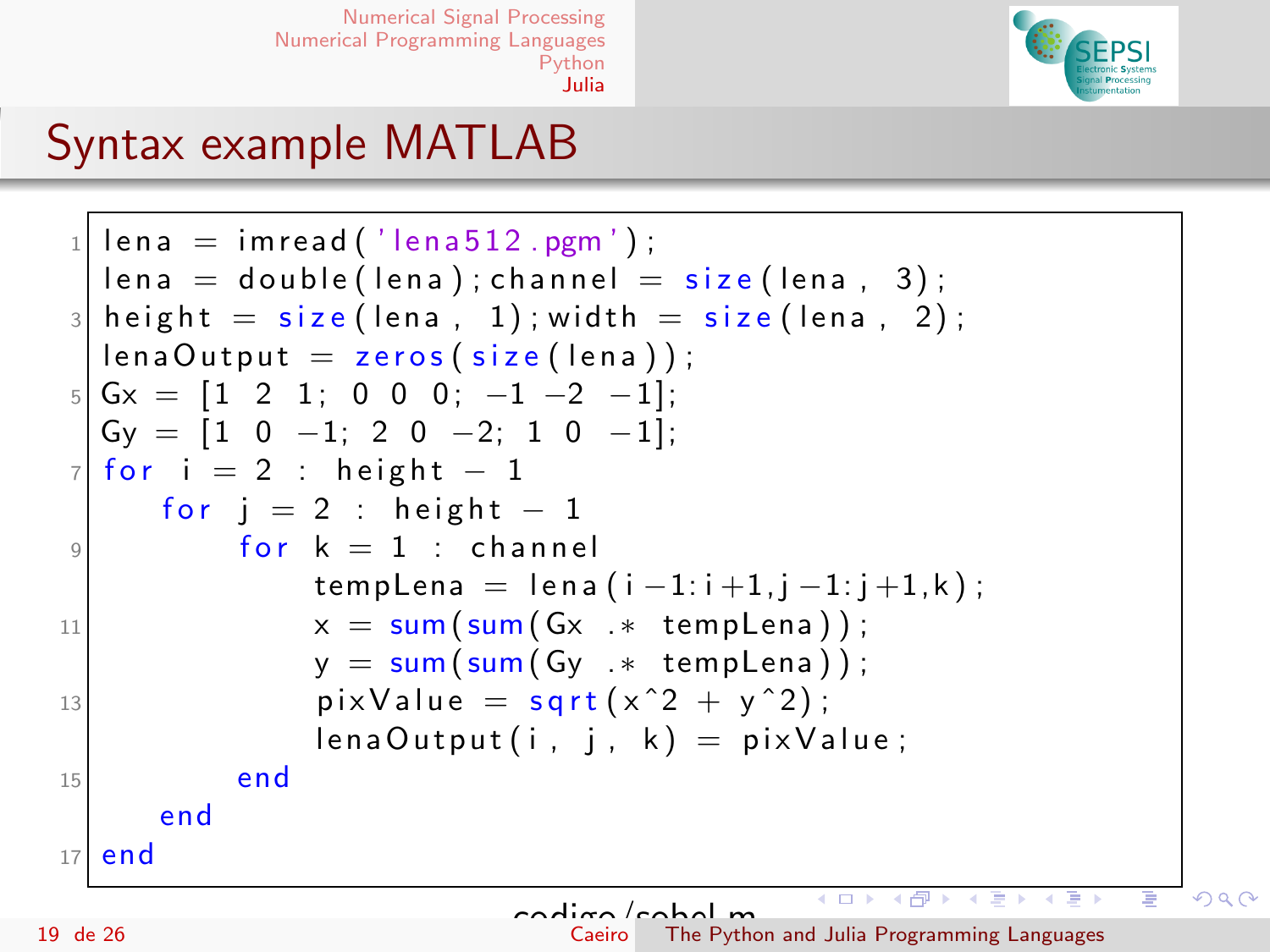

## Syntax example MATLAB

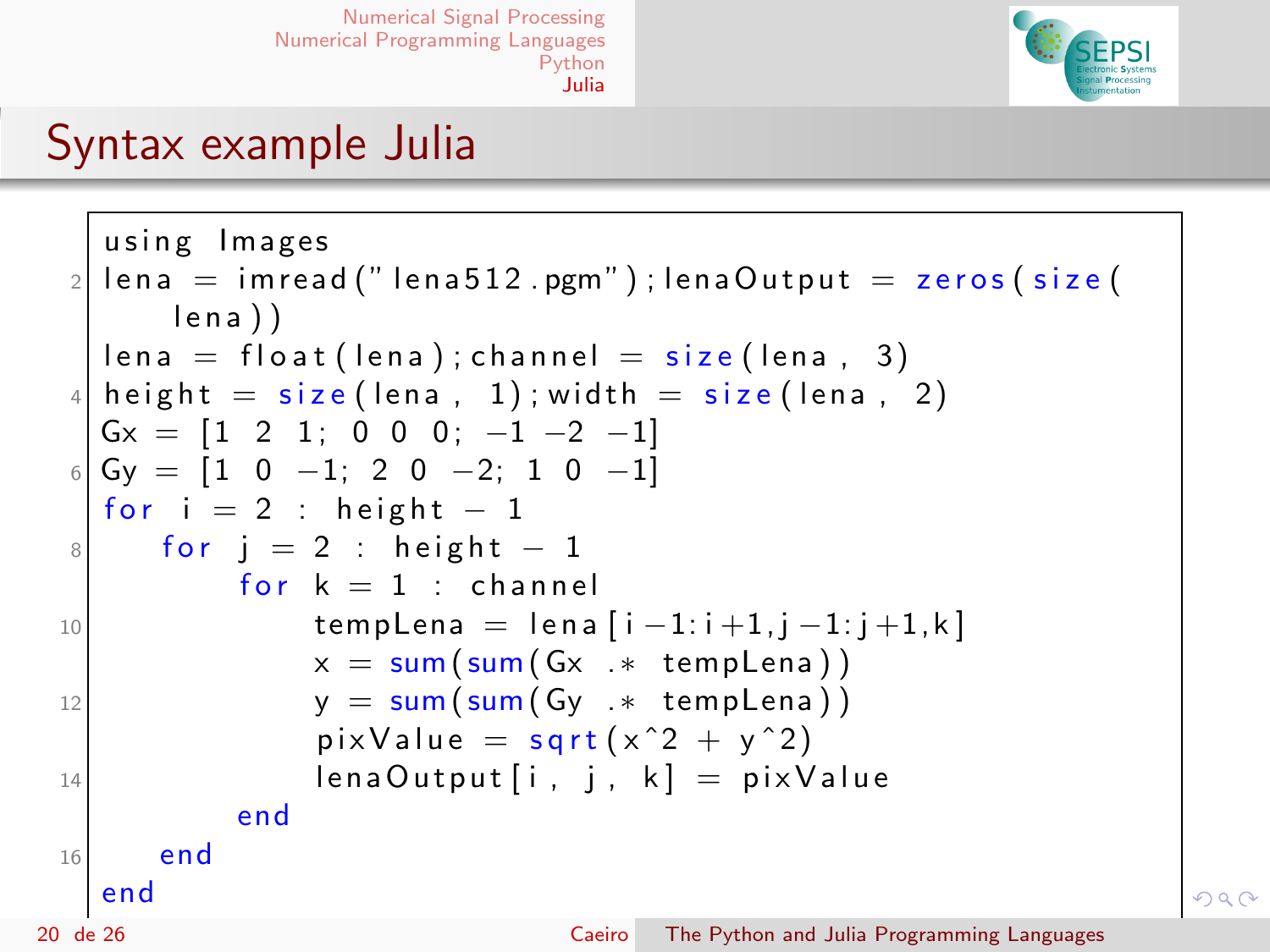

#### Syntax example Julia

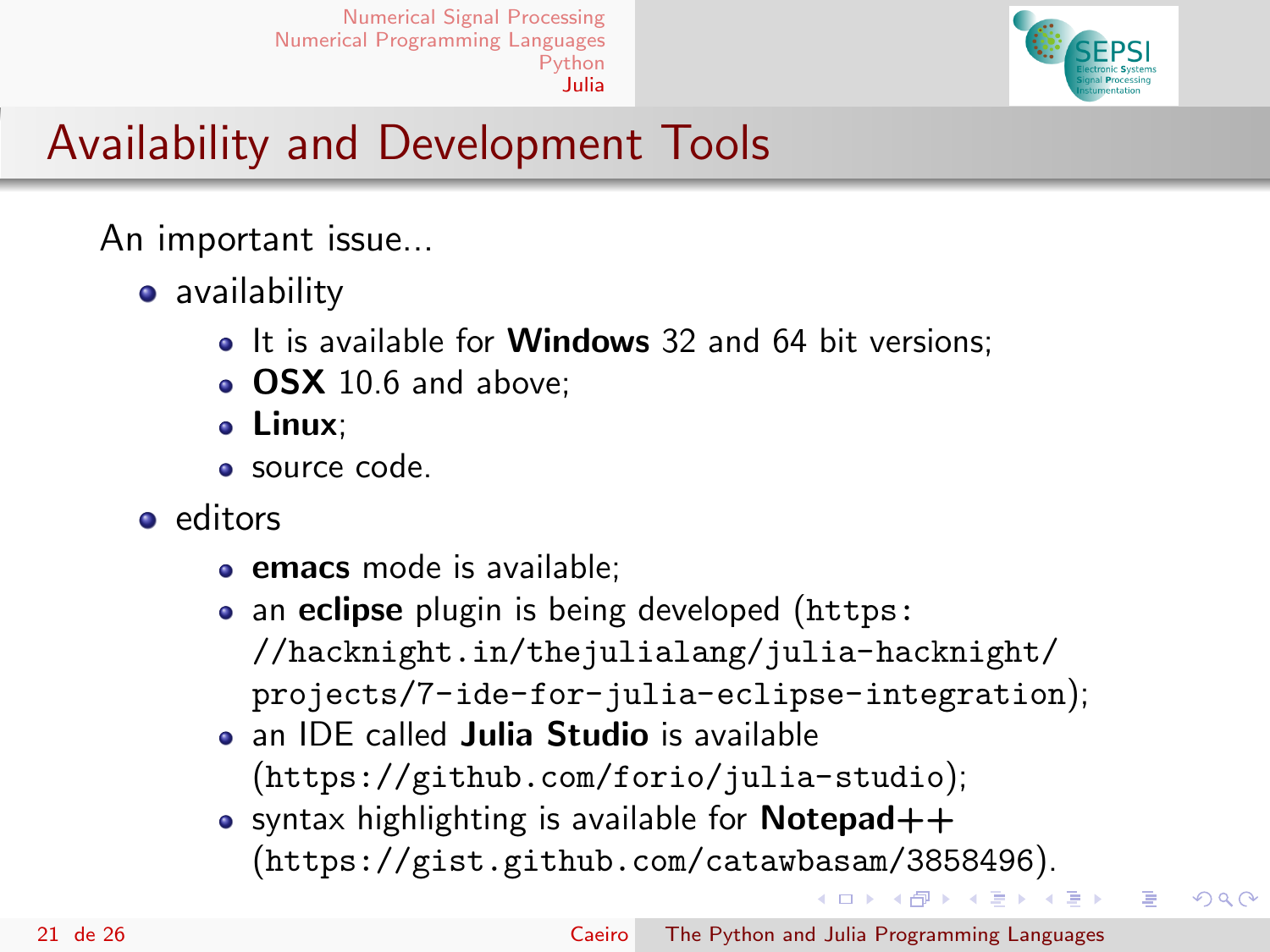

# Availability and Development Tools

An important issue...

- **•** availability
	- It is available for **Windows** 32 and 64 bit versions:
	- OSX 10.6 and above:
	- Linux;
	- source code.
- editors
	- **emacs** mode is available;
	- an **eclipse** plugin is being developed ([https:](https://hacknight.in/thejulialang/julia-hacknight/projects/7-ide-for-julia-eclipse-integration) [//hacknight.in/thejulialang/julia-hacknight/](https://hacknight.in/thejulialang/julia-hacknight/projects/7-ide-for-julia-eclipse-integration) [projects/7-ide-for-julia-eclipse-integration](https://hacknight.in/thejulialang/julia-hacknight/projects/7-ide-for-julia-eclipse-integration));
	- **a** an IDE called **Julia Studio** is available (<https://github.com/forio/julia-studio>);
	- syntax highlighting is available for **Notepad** $++$ (<https://gist.github.com/catawbasam/3858496>).

イロメ イ母メ イヨメ イヨメ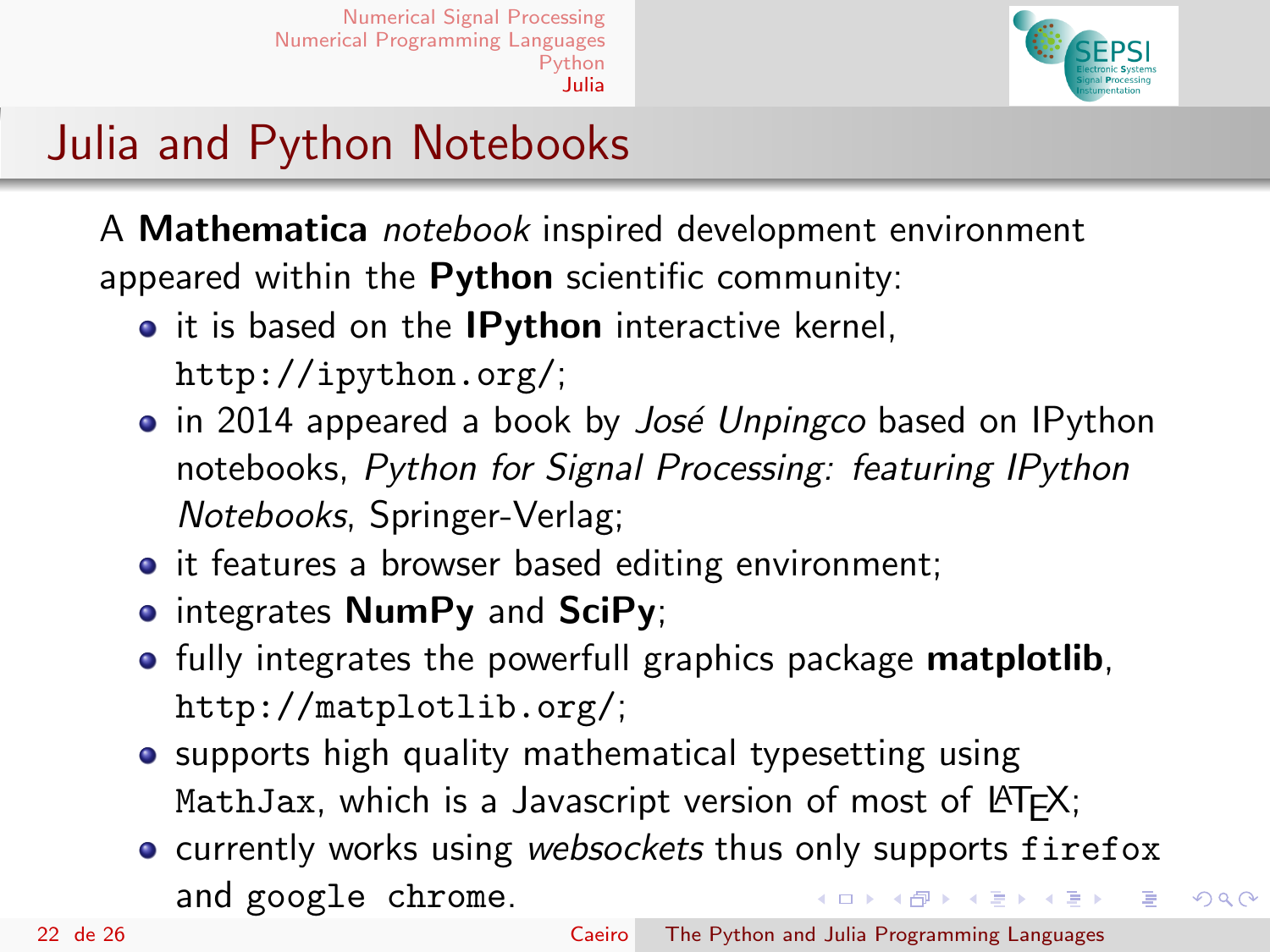

 $2990$ 

# Julia and Python Notebooks

A Mathematica notebook inspired development environment appeared within the Python scientific community:

- it is based on the **IPython** interactive kernel, <http://ipython.org/>;
- in 2014 appeared a book by *José Unpingco* based on IPython notebooks, Python for Signal Processing: featuring IPython Notebooks, Springer-Verlag;
- it features a browser based editing environment;
- **•** integrates **NumPy** and SciPy;
- **•** fully integrates the powerfull graphics package **matplotlib**, <http://matplotlib.org/>;
- supports high quality mathematical typesetting using MathJax, which is a Javascript version of most of  $\triangle T$ FX;
- **•** currently works using websockets thus only supports firefox and google chrome. イロメ イ何メ イヨメ イヨメ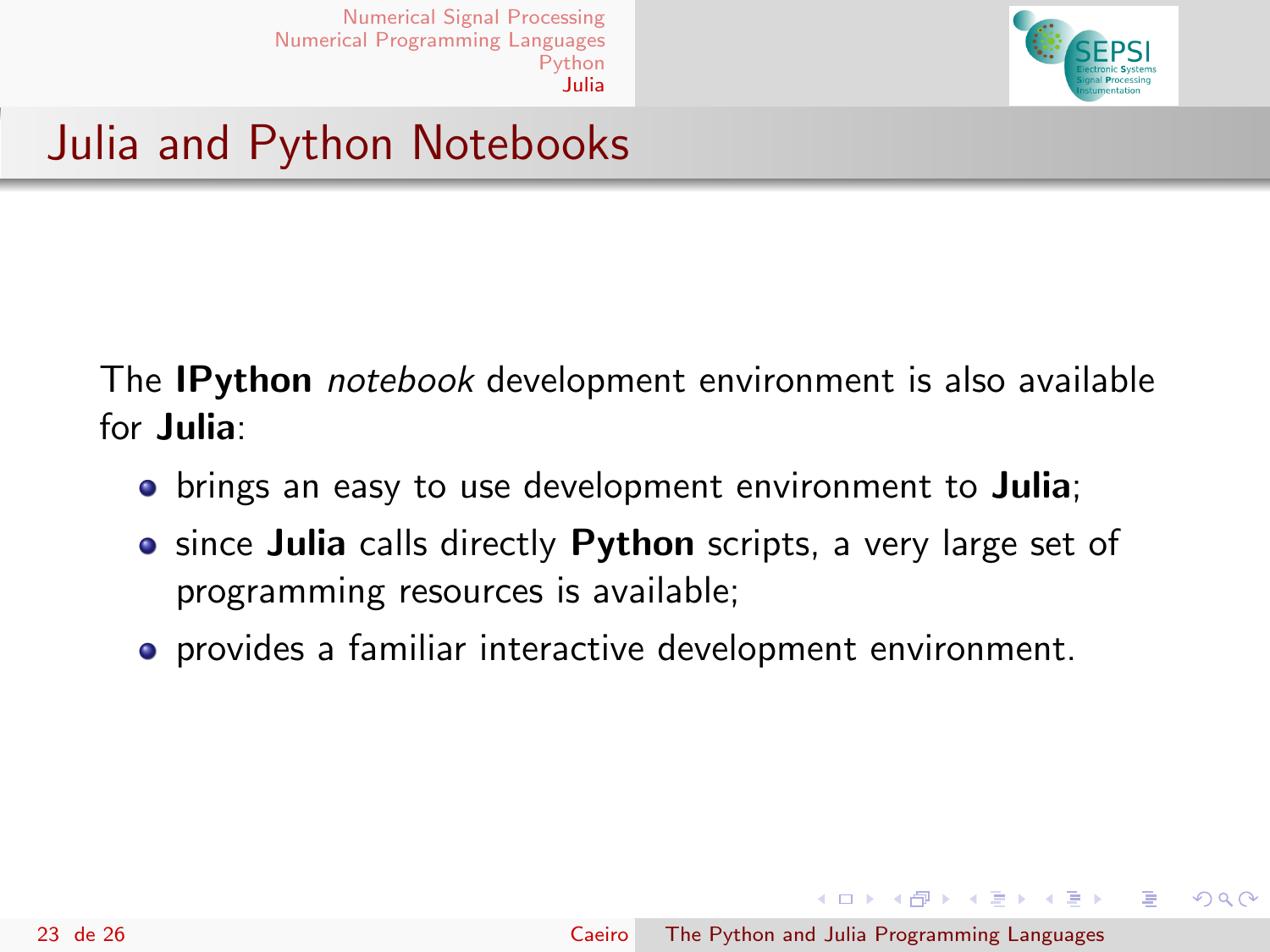

Julia and Python Notebooks

The **IPython** notebook development environment is also available for Julia:

- brings an easy to use development environment to **Julia**;
- **•** since Julia calls directly Python scripts, a very large set of programming resources is available;
- **•** provides a familiar interactive development environment.

イロメ イ母メ イヨメ イヨメ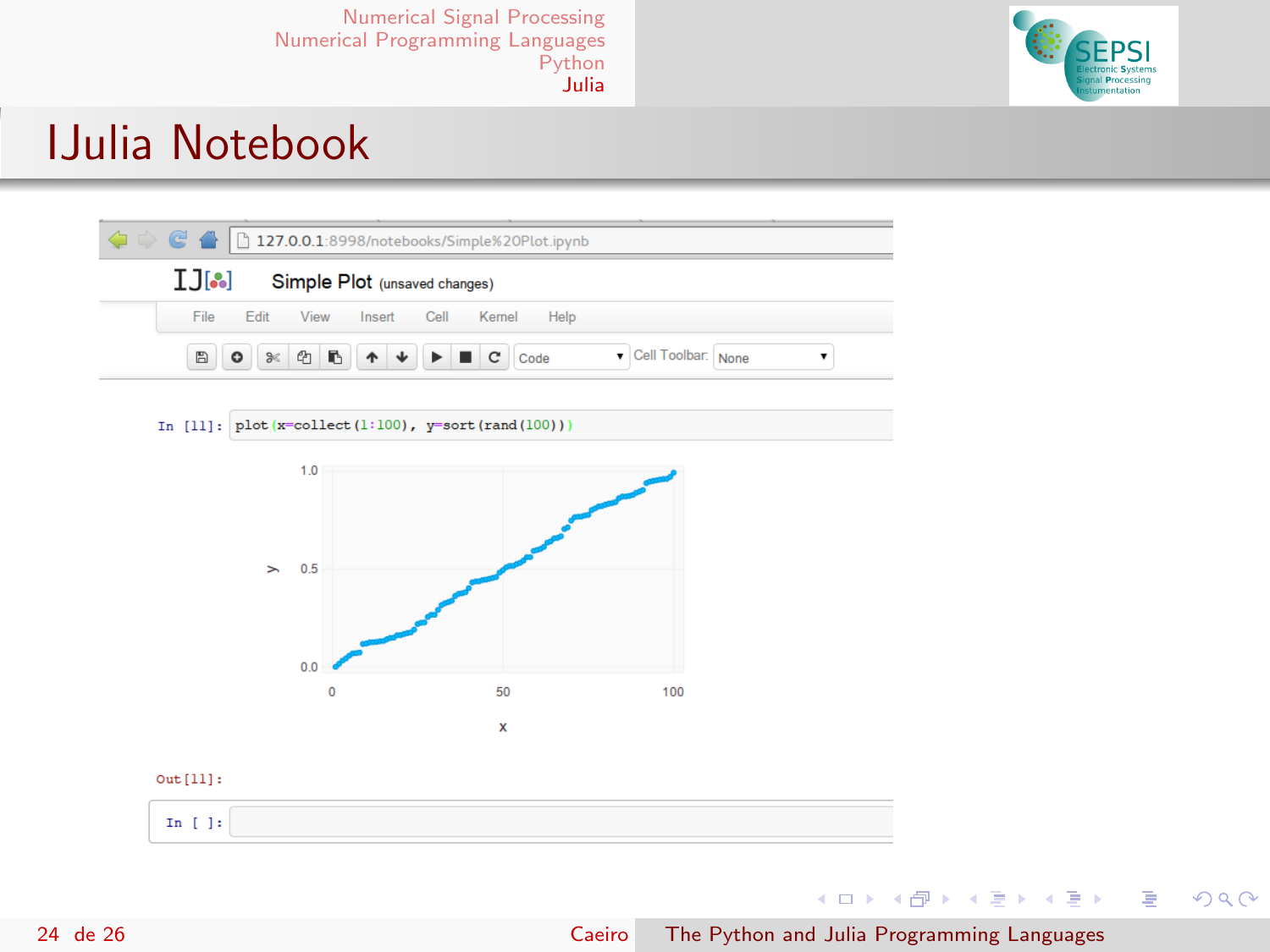

#### IJulia Notebook



In [11]:  $plot(x=collect(1:100), y=sort(rand(100)))$ 



#### $Out[11]:$



Þ

 $299$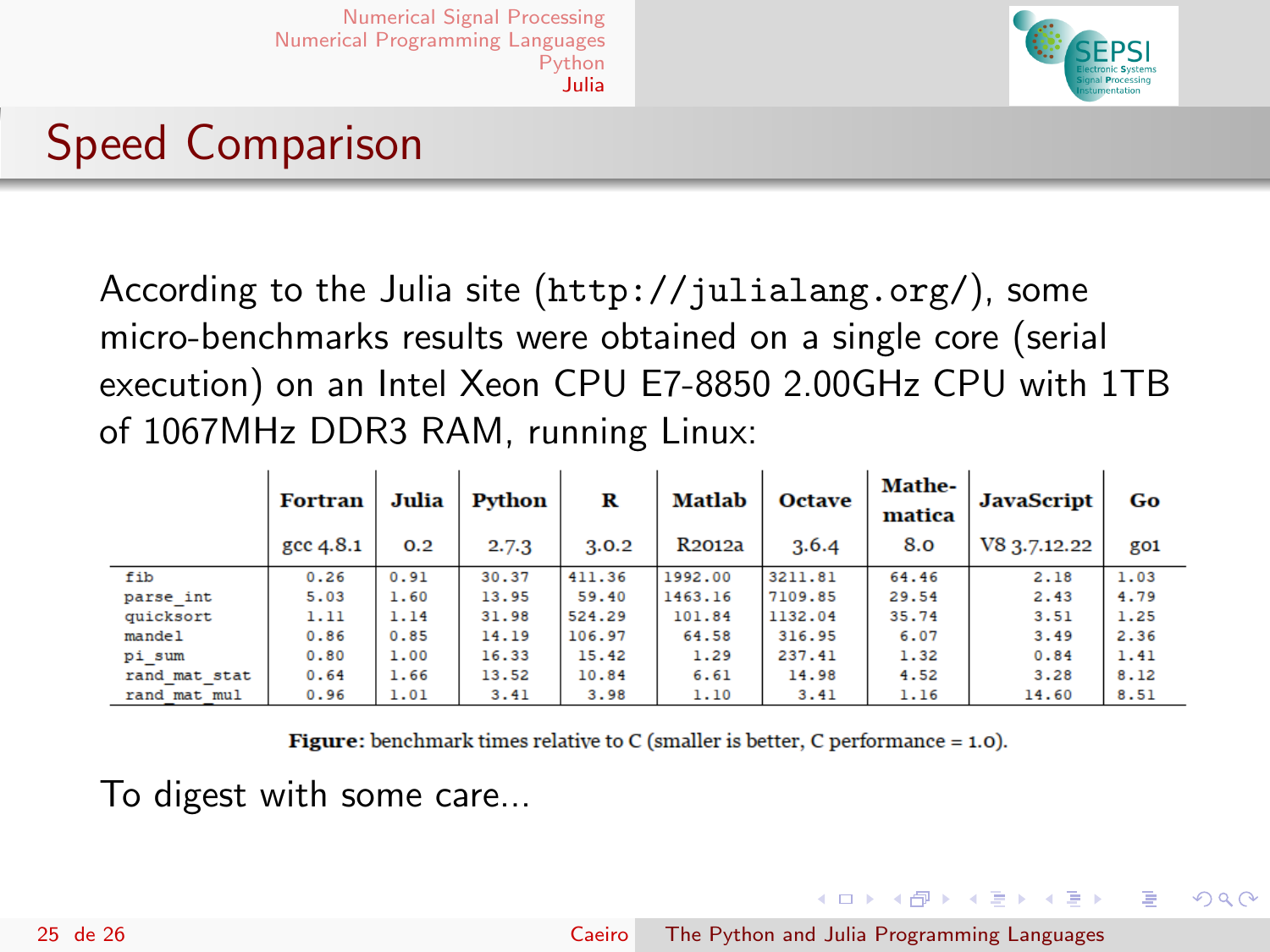

# Speed Comparison

According to the Julia site (<http://julialang.org/>), some micro-benchmarks results were obtained on a single core (serial execution) on an Intel Xeon CPU E7-8850 2.00GHz CPU with 1TB of 1067MHz DDR3 RAM, running Linux:

|               | <b>Fortran</b><br>gcc 4.8.1 | Julia<br>0.2 | Python<br>2.7.3 | R<br>3.0.2 | Matlab<br>R <sub>2012a</sub> | <b>Octave</b><br>3.6.4 | <b>Mathe-</b><br>matica<br>8.0 | <b>JavaScript</b><br>V8 3.7.12.22 | Go<br>go1 |
|---------------|-----------------------------|--------------|-----------------|------------|------------------------------|------------------------|--------------------------------|-----------------------------------|-----------|
| fib           | 0.26                        | 0.91         | 30.37           | 411.36     | 1992.00                      | 3211.81                | 64.46                          | 2.18                              | 1.03      |
| parse int     | 5.03                        | 1.60         | 13.95           | 59.40      | 1463.16                      | 7109.85                | 29.54                          | 2.43                              | 4.79      |
| quicksort     | 1.11                        | 1.14         | 31.98           | 524.29     | 101.84                       | 1132.04                | 35.74                          | 3.51                              | 1.25      |
| mandel        | 0.86                        | 0.85         | 14.19           | 106.97     | 64.58                        | 316.95                 | 6.07                           | 3.49                              | 2.36      |
| pi sum        | 0.80                        | 1.00         | 16.33           | 15.42      | 1.29                         | 237.41                 | 1.32                           | 0.84                              | 1.41      |
| rand mat stat | 0.64                        | 1.66         | 13.52           | 10.84      | 6.61                         | 14.98                  | 4.52                           | 3.28                              | 8.12      |
| rand mat mul  | 0.96                        | 1.01         | 3.41            | 3.98       | 1.10                         | 3.41                   | 1.16                           | 14.60                             | 8.51      |

**Figure:** benchmark times relative to C (smaller is better, C performance  $= 1.0$ ).

To digest with some care...

イロメ イ母メ イヨメ イヨメ